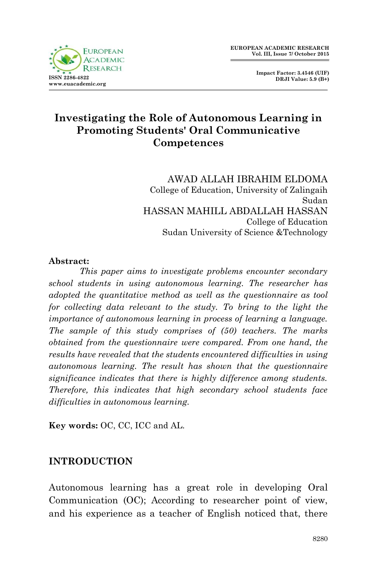

 **Impact Factor: 3.4546 (UIF) DRJI Value: 5.9 (B+)**

# **Investigating the Role of Autonomous Learning in Promoting Students' Oral Communicative Competences**

AWAD ALLAH IBRAHIM ELDOMA College of Education, University of Zalingaih Sudan HASSAN MAHILL ABDALLAH HASSAN College of Education Sudan University of Science &Technology

#### **Abstract:**

*This paper aims to investigate problems encounter secondary school students in using autonomous learning. The researcher has adopted the quantitative method as well as the questionnaire as tool*  for collecting data relevant to the study. To bring to the light the *importance of autonomous learning in process of learning a language. The sample of this study comprises of (50) teachers. The marks obtained from the questionnaire were compared. From one hand, the results have revealed that the students encountered difficulties in using autonomous learning. The result has shown that the questionnaire significance indicates that there is highly difference among students. Therefore, this indicates that high secondary school students face difficulties in autonomous learning.*

**Key words:** OC, CC, ICC and AL.

## **INTRODUCTION**

Autonomous learning has a great role in developing Oral Communication (OC); According to researcher point of view, and his experience as a teacher of English noticed that, there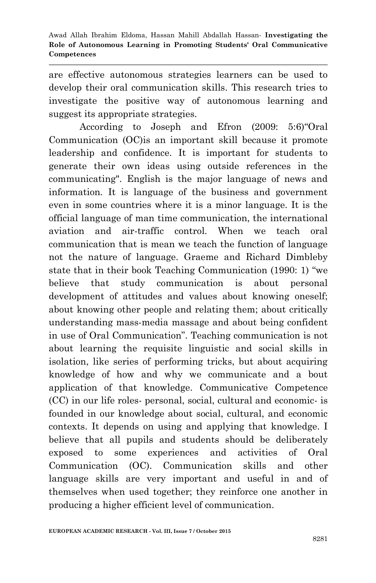are effective autonomous strategies learners can be used to develop their oral communication skills. This research tries to investigate the positive way of autonomous learning and suggest its appropriate strategies.

According to Joseph and Efron (2009: 5:6)"Oral Communication (OC)is an important skill because it promote leadership and confidence. It is important for students to generate their own ideas using outside references in the communicating". English is the major language of news and information. It is language of the business and government even in some countries where it is a minor language. It is the official language of man time communication, the international aviation and air-traffic control. When we teach oral communication that is mean we teach the function of language not the nature of language. Graeme and Richard Dimbleby state that in their book Teaching Communication (1990: 1) "we believe that study communication is about personal development of attitudes and values about knowing oneself; about knowing other people and relating them; about critically understanding mass-media massage and about being confident in use of Oral Communication". Teaching communication is not about learning the requisite linguistic and social skills in isolation, like series of performing tricks, but about acquiring knowledge of how and why we communicate and a bout application of that knowledge. Communicative Competence (CC) in our life roles- personal, social, cultural and economic- is founded in our knowledge about social, cultural, and economic contexts. It depends on using and applying that knowledge. I believe that all pupils and students should be deliberately exposed to some experiences and activities of Oral Communication (OC). Communication skills and other language skills are very important and useful in and of themselves when used together; they reinforce one another in producing a higher efficient level of communication.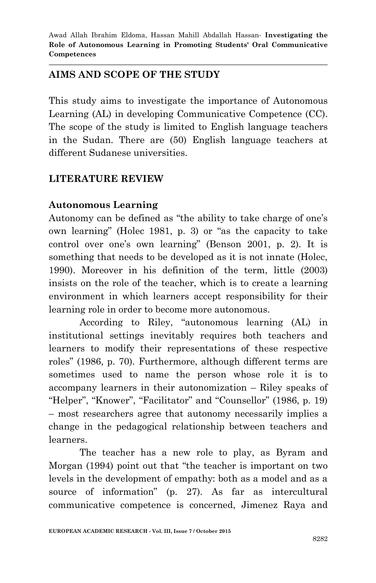# **AIMS AND SCOPE OF THE STUDY**

This study aims to investigate the importance of Autonomous Learning (AL) in developing Communicative Competence (CC). The scope of the study is limited to English language teachers in the Sudan. There are (50) English language teachers at different Sudanese universities.

# **LITERATURE REVIEW**

# **Autonomous Learning**

Autonomy can be defined as "the ability to take charge of one"s own learning" (Holec 1981, p. 3) or "as the capacity to take control over one"s own learning" (Benson 2001, p. 2). It is something that needs to be developed as it is not innate (Holec, 1990). Moreover in his definition of the term, little (2003) insists on the role of the teacher, which is to create a learning environment in which learners accept responsibility for their learning role in order to become more autonomous.

According to Riley, "autonomous learning (AL) in institutional settings inevitably requires both teachers and learners to modify their representations of these respective roles" (1986, p. 70). Furthermore, although different terms are sometimes used to name the person whose role it is to accompany learners in their autonomization – Riley speaks of "Helper", "Knower", "Facilitator" and "Counsellor" (1986, p. 19) – most researchers agree that autonomy necessarily implies a change in the pedagogical relationship between teachers and learners.

The teacher has a new role to play, as Byram and Morgan (1994) point out that "the teacher is important on two levels in the development of empathy: both as a model and as a source of information" (p. 27). As far as intercultural communicative competence is concerned, Jimenez Raya and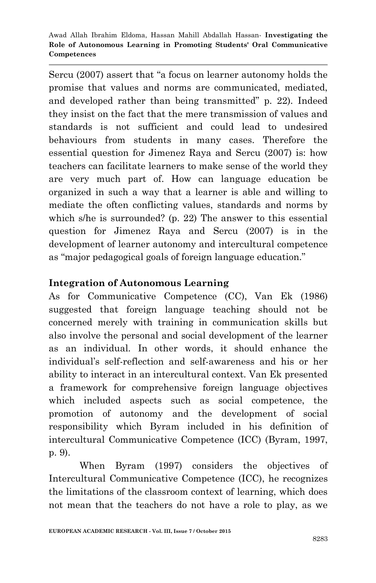Sercu (2007) assert that "a focus on learner autonomy holds the promise that values and norms are communicated, mediated, and developed rather than being transmitted" p. 22). Indeed they insist on the fact that the mere transmission of values and standards is not sufficient and could lead to undesired behaviours from students in many cases. Therefore the essential question for Jimenez Raya and Sercu (2007) is: how teachers can facilitate learners to make sense of the world they are very much part of. How can language education be organized in such a way that a learner is able and willing to mediate the often conflicting values, standards and norms by which s/he is surrounded? (p. 22) The answer to this essential question for Jimenez Raya and Sercu (2007) is in the development of learner autonomy and intercultural competence as "major pedagogical goals of foreign language education."

## **Integration of Autonomous Learning**

As for Communicative Competence (CC), Van Ek (1986) suggested that foreign language teaching should not be concerned merely with training in communication skills but also involve the personal and social development of the learner as an individual. In other words, it should enhance the individual"s self-reflection and self-awareness and his or her ability to interact in an intercultural context. Van Ek presented a framework for comprehensive foreign language objectives which included aspects such as social competence, the promotion of autonomy and the development of social responsibility which Byram included in his definition of intercultural Communicative Competence (ICC) (Byram, 1997, p. 9).

When Byram (1997) considers the objectives of Intercultural Communicative Competence (ICC), he recognizes the limitations of the classroom context of learning, which does not mean that the teachers do not have a role to play, as we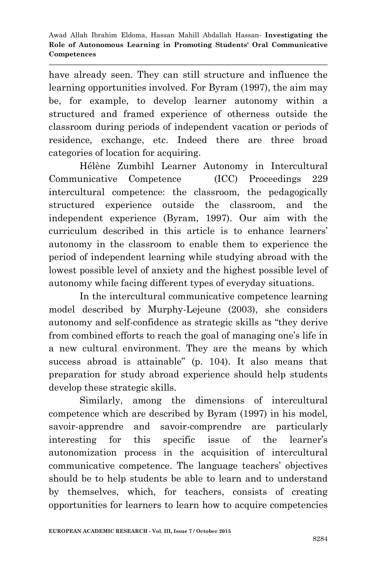have already seen. They can still structure and influence the learning opportunities involved. For Byram (1997), the aim may be, for example, to develop learner autonomy within a structured and framed experience of otherness outside the classroom during periods of independent vacation or periods of residence, exchange, etc. Indeed there are three broad categories of location for acquiring.

Hélène Zumbihl Learner Autonomy in Intercultural Communicative Competence (ICC) Proceedings 229 intercultural competence: the classroom, the pedagogically structured experience outside the classroom, and the independent experience (Byram, 1997). Our aim with the curriculum described in this article is to enhance learners" autonomy in the classroom to enable them to experience the period of independent learning while studying abroad with the lowest possible level of anxiety and the highest possible level of autonomy while facing different types of everyday situations.

In the intercultural communicative competence learning model described by Murphy-Lejeune (2003), she considers autonomy and self-confidence as strategic skills as "they derive from combined efforts to reach the goal of managing one"s life in a new cultural environment. They are the means by which success abroad is attainable" (p. 104). It also means that preparation for study abroad experience should help students develop these strategic skills.

Similarly, among the dimensions of intercultural competence which are described by Byram (1997) in his model, savoir-apprendre and savoir-comprendre are particularly interesting for this specific issue of the learner"s autonomization process in the acquisition of intercultural communicative competence. The language teachers" objectives should be to help students be able to learn and to understand by themselves, which, for teachers, consists of creating opportunities for learners to learn how to acquire competencies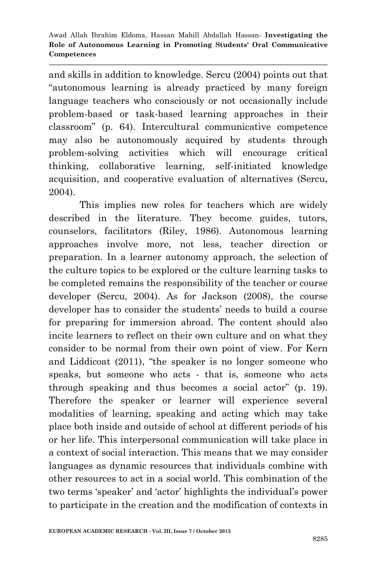and skills in addition to knowledge. Sercu (2004) points out that "autonomous learning is already practiced by many foreign language teachers who consciously or not occasionally include problem-based or task-based learning approaches in their classroom" (p. 64). Intercultural communicative competence may also be autonomously acquired by students through problem-solving activities which will encourage critical thinking, collaborative learning, self-initiated knowledge acquisition, and cooperative evaluation of alternatives (Sercu, 2004).

This implies new roles for teachers which are widely described in the literature. They become guides, tutors, counselors, facilitators (Riley, 1986). Autonomous learning approaches involve more, not less, teacher direction or preparation. In a learner autonomy approach, the selection of the culture topics to be explored or the culture learning tasks to be completed remains the responsibility of the teacher or course developer (Sercu, 2004). As for Jackson (2008), the course developer has to consider the students' needs to build a course for preparing for immersion abroad. The content should also incite learners to reflect on their own culture and on what they consider to be normal from their own point of view. For Kern and Liddicoat (2011), "the speaker is no longer someone who speaks, but someone who acts - that is, someone who acts through speaking and thus becomes a social actor" (p. 19). Therefore the speaker or learner will experience several modalities of learning, speaking and acting which may take place both inside and outside of school at different periods of his or her life. This interpersonal communication will take place in a context of social interaction. This means that we may consider languages as dynamic resources that individuals combine with other resources to act in a social world. This combination of the two terms "speaker" and "actor" highlights the individual"s power to participate in the creation and the modification of contexts in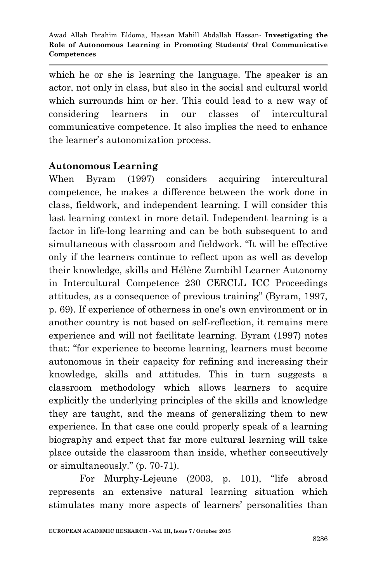which he or she is learning the language. The speaker is an actor, not only in class, but also in the social and cultural world which surrounds him or her. This could lead to a new way of considering learners in our classes of intercultural communicative competence. It also implies the need to enhance the learner"s autonomization process.

# **Autonomous Learning**

When Byram (1997) considers acquiring intercultural competence, he makes a difference between the work done in class, fieldwork, and independent learning. I will consider this last learning context in more detail. Independent learning is a factor in life-long learning and can be both subsequent to and simultaneous with classroom and fieldwork. "It will be effective only if the learners continue to reflect upon as well as develop their knowledge, skills and Hélène Zumbihl Learner Autonomy in Intercultural Competence 230 CERCLL ICC Proceedings attitudes, as a consequence of previous training" (Byram, 1997, p. 69). If experience of otherness in one's own environment or in another country is not based on self-reflection, it remains mere experience and will not facilitate learning. Byram (1997) notes that: "for experience to become learning, learners must become autonomous in their capacity for refining and increasing their knowledge, skills and attitudes. This in turn suggests a classroom methodology which allows learners to acquire explicitly the underlying principles of the skills and knowledge they are taught, and the means of generalizing them to new experience. In that case one could properly speak of a learning biography and expect that far more cultural learning will take place outside the classroom than inside, whether consecutively or simultaneously." (p. 70-71).

For Murphy-Lejeune (2003, p. 101), "life abroad represents an extensive natural learning situation which stimulates many more aspects of learners" personalities than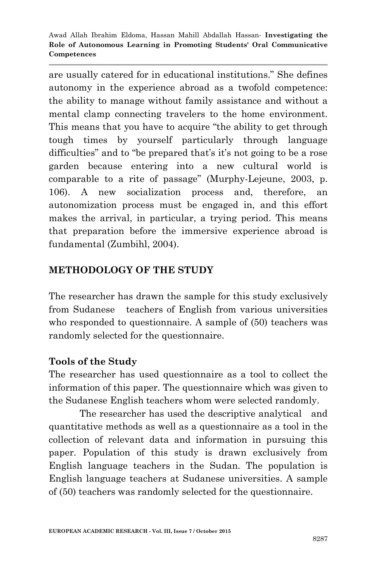are usually catered for in educational institutions." She defines autonomy in the experience abroad as a twofold competence: the ability to manage without family assistance and without a mental clamp connecting travelers to the home environment. This means that you have to acquire "the ability to get through tough times by yourself particularly through language difficulties" and to "be prepared that's it's not going to be a rose garden because entering into a new cultural world is comparable to a rite of passage" (Murphy-Lejeune, 2003, p. 106). A new socialization process and, therefore, an autonomization process must be engaged in, and this effort makes the arrival, in particular, a trying period. This means that preparation before the immersive experience abroad is fundamental (Zumbihl, 2004).

### **METHODOLOGY OF THE STUDY**

The researcher has drawn the sample for this study exclusively from Sudanese teachers of English from various universities who responded to questionnaire. A sample of  $(50)$  teachers was randomly selected for the questionnaire.

### **Tools of the Study**

The researcher has used questionnaire as a tool to collect the information of this paper. The questionnaire which was given to the Sudanese English teachers whom were selected randomly.

The researcher has used the descriptive analytical and quantitative methods as well as a questionnaire as a tool in the collection of relevant data and information in pursuing this paper. Population of this study is drawn exclusively from English language teachers in the Sudan. The population is English language teachers at Sudanese universities. A sample of (50) teachers was randomly selected for the questionnaire.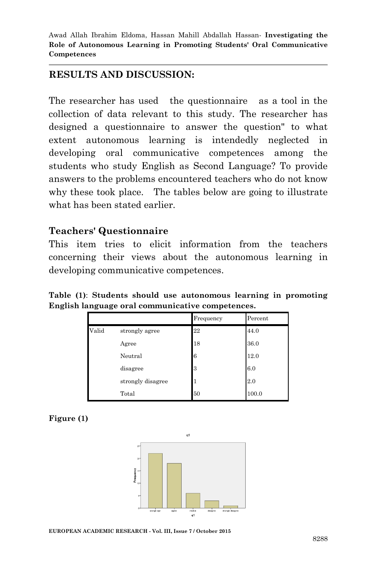## **RESULTS AND DISCUSSION:**

The researcher has used the questionnaire as a tool in the collection of data relevant to this study. The researcher has designed a questionnaire to answer the question" to what extent autonomous learning is intendedly neglected in developing oral communicative competences among the students who study English as Second Language? To provide answers to the problems encountered teachers who do not know why these took place. The tables below are going to illustrate what has been stated earlier.

### **Teachers' Questionnaire**

This item tries to elicit information from the teachers concerning their views about the autonomous learning in developing communicative competences.

**Table (1)**: **Students should use autonomous learning in promoting English language oral communicative competences.**

|       |                   | Frequency | Percent |
|-------|-------------------|-----------|---------|
| Valid | strongly agree    | 22        | 44.0    |
|       | Agree             | 18        | 36.0    |
|       | Neutral           | 6         | 12.0    |
|       | disagree          | 3         | 6.0     |
|       | strongly disagree | 1         | 2.0     |
|       | Total             | 50        | 100.0   |

#### **Figure (1)**



**EUROPEAN ACADEMIC RESEARCH - Vol. III, Issue 7 / October 2015**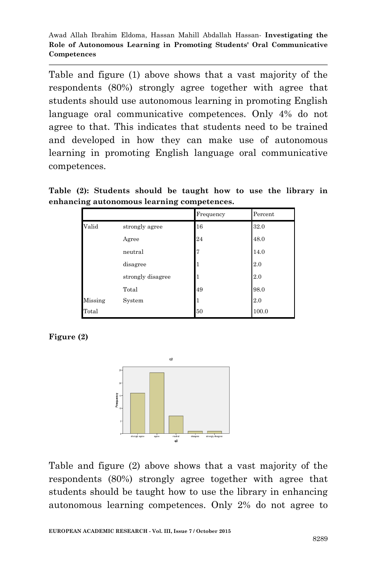Table and figure (1) above shows that a vast majority of the respondents (80%) strongly agree together with agree that students should use autonomous learning in promoting English language oral communicative competences. Only 4% do not agree to that. This indicates that students need to be trained and developed in how they can make use of autonomous learning in promoting English language oral communicative competences.

**Table (2): Students should be taught how to use the library in enhancing autonomous learning competences.**

|         |                   | Frequency | Percent |
|---------|-------------------|-----------|---------|
| Valid   | strongly agree    | 16        | 32.0    |
|         | Agree             | 24        | 48.0    |
|         | neutral           | 7         | 14.0    |
|         | disagree          |           | 2.0     |
|         | strongly disagree | T         | 2.0     |
|         | Total             | 49        | 98.0    |
| Missing | System            | 1         | 2.0     |
| Total   |                   | 50        | 100.0   |

**Figure (2)**



Table and figure (2) above shows that a vast majority of the respondents (80%) strongly agree together with agree that students should be taught how to use the library in enhancing autonomous learning competences. Only 2% do not agree to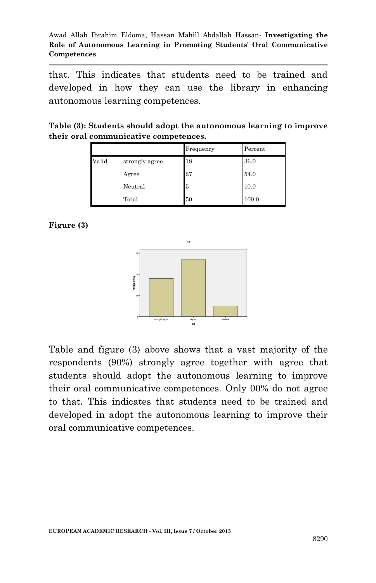that. This indicates that students need to be trained and developed in how they can use the library in enhancing autonomous learning competences.

**Table (3): Students should adopt the autonomous learning to improve their oral communicative competences.**

|       |                | Frequency | Percent |
|-------|----------------|-----------|---------|
| Valid | strongly agree | 18        | 36.0    |
|       | Agree          | 27        | 54.0    |
|       | Neutral        | 5         | 10.0    |
|       | Total          | 50        | 100.0   |

**Figure (3)**



Table and figure (3) above shows that a vast majority of the respondents (90%) strongly agree together with agree that students should adopt the autonomous learning to improve their oral communicative competences. Only 00% do not agree to that. This indicates that students need to be trained and developed in adopt the autonomous learning to improve their oral communicative competences.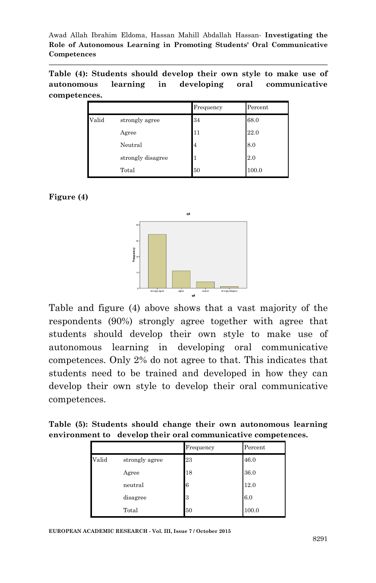**Table (4): Students should develop their own style to make use of autonomous learning in developing oral communicative competences.**

|       |                   | Frequency | Percent |
|-------|-------------------|-----------|---------|
| Valid | strongly agree    | 34        | 68.0    |
|       | Agree             | 11        | 22.0    |
|       | Neutral           | 4         | 8.0     |
|       | strongly disagree |           | 2.0     |
|       | Total             | 50        | 100.0   |

#### **Figure (4)**



Table and figure (4) above shows that a vast majority of the respondents (90%) strongly agree together with agree that students should develop their own style to make use of autonomous learning in developing oral communicative competences. Only 2% do not agree to that. This indicates that students need to be trained and developed in how they can develop their own style to develop their oral communicative competences.

**Table (5): Students should change their own autonomous learning environment to develop their oral communicative competences.**

|       |                | Frequency | Percent |
|-------|----------------|-----------|---------|
| Valid | strongly agree | 23        | 46.0    |
|       | Agree          | 18        | 36.0    |
|       | neutral        | 6         | 12.0    |
|       | disagree       | 3         | 6.0     |
|       | Total          | 50        | 100.0   |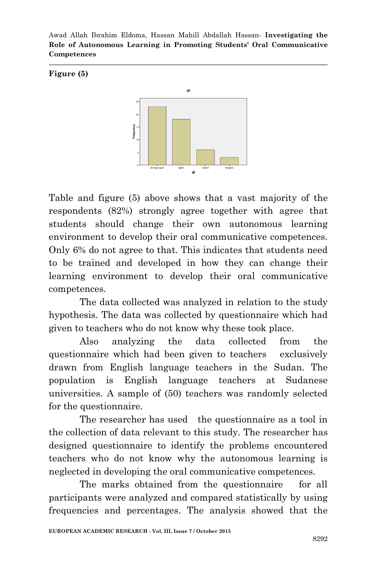#### **Figure (5)**



Table and figure (5) above shows that a vast majority of the respondents (82%) strongly agree together with agree that students should change their own autonomous learning environment to develop their oral communicative competences. Only 6% do not agree to that. This indicates that students need to be trained and developed in how they can change their learning environment to develop their oral communicative competences.

The data collected was analyzed in relation to the study hypothesis. The data was collected by questionnaire which had given to teachers who do not know why these took place.

Also analyzing the data collected from the questionnaire which had been given to teachers exclusively drawn from English language teachers in the Sudan. The population is English language teachers at Sudanese universities. A sample of (50) teachers was randomly selected for the questionnaire.

The researcher has used the questionnaire as a tool in the collection of data relevant to this study. The researcher has designed questionnaire to identify the problems encountered teachers who do not know why the autonomous learning is neglected in developing the oral communicative competences.

The marks obtained from the questionnaire for all participants were analyzed and compared statistically by using frequencies and percentages. The analysis showed that the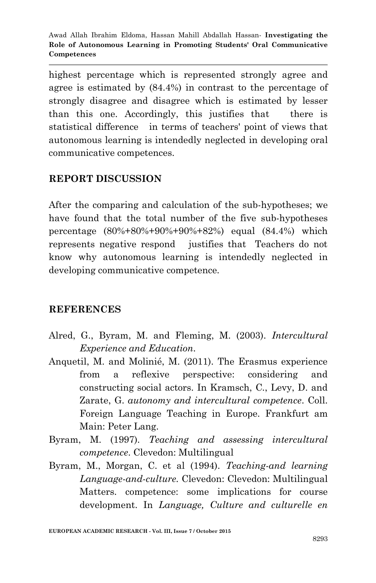highest percentage which is represented strongly agree and agree is estimated by (84.4%) in contrast to the percentage of strongly disagree and disagree which is estimated by lesser than this one. Accordingly, this justifies that there is statistical difference in terms of teachers' point of views that autonomous learning is intendedly neglected in developing oral communicative competences.

## **REPORT DISCUSSION**

After the comparing and calculation of the sub-hypotheses; we have found that the total number of the five sub-hypotheses percentage (80%+80%+90%+90%+82%) equal (84.4%) which represents negative respond justifies that Teachers do not know why autonomous learning is intendedly neglected in developing communicative competence.

### **REFERENCES**

- Alred, G., Byram, M. and Fleming, M. (2003). *Intercultural Experience and Education*.
- Anquetil, M. and Molinié, M. (2011). The Erasmus experience from a reflexive perspective: considering and constructing social actors. In Kramsch, C., Levy, D. and Zarate, G. *autonomy and intercultural competence*. Coll. Foreign Language Teaching in Europe. Frankfurt am Main: Peter Lang.
- Byram, M. (1997). *Teaching and assessing intercultural competence*. Clevedon: Multilingual
- Byram, M., Morgan, C. et al (1994). *Teaching-and learning Language-and-culture.* Clevedon: Clevedon: Multilingual Matters. competence: some implications for course development. In *Language, Culture and culturelle en*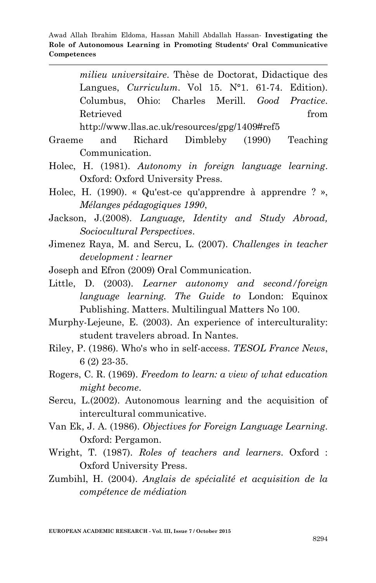*milieu universitaire*. Thèse de Doctorat, Didactique des Langues, *Curriculum*. Vol 15. N°1. 61-74. Edition). Columbus, Ohio: Charles Merill. *Good Practice*. Retrieved from the set of  $\sim$  from the set of  $\sim$  from the set of  $\sim$  from the set of  $\sim$  from the set of  $\sim$  from the set of  $\sim$  from the set of  $\sim$  from the set of  $\sim$  from the set of  $\sim$  from the set of  $\sim$  fr

http://www.llas.ac.uk/resources/gpg/1409#ref5

- Graeme and Richard Dimbleby (1990) Teaching Communication.
- Holec, H. (1981). *Autonomy in foreign language learning*. Oxford: Oxford University Press.
- Holec, H. (1990). « Qu'est-ce qu'apprendre à apprendre ? », *Mélanges pédagogiques 1990*,
- Jackson, J.(2008). *Language, Identity and Study Abroad, Sociocultural Perspectives*.
- Jimenez Raya, M. and Sercu, L. (2007). *Challenges in teacher development : learner*
- Joseph and Efron (2009) Oral Communication.
- Little, D. (2003). *Learner autonomy and second/foreign language learning. The Guide to* London: Equinox Publishing. Matters. Multilingual Matters No 100.
- Murphy-Lejeune, E. (2003). An experience of interculturality: student travelers abroad. In Nantes.
- Riley, P. (1986). Who's who in self-access. *TESOL France News*, 6 (2) 23-35.
- Rogers, C. R. (1969). *Freedom to learn: a view of what education might become*.
- Sercu, L.(2002). Autonomous learning and the acquisition of intercultural communicative.
- Van Ek, J. A. (1986). *Objectives for Foreign Language Learning*. Oxford: Pergamon.
- Wright, T. (1987). *Roles of teachers and learners*. Oxford : Oxford University Press.
- Zumbihl, H. (2004). *Anglais de spécialité et acquisition de la compétence de médiation*